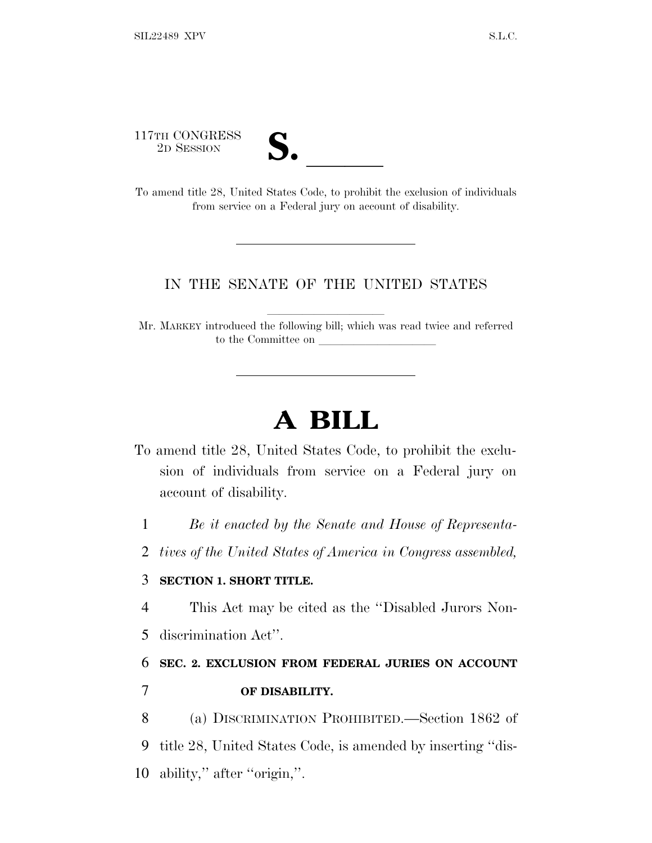117TH CONGRESS

| $\mathbf{\boldsymbol{\cup}}$ o<br>$\overline{\phantom{a}}$ |  |
|------------------------------------------------------------|--|
|                                                            |  |

2D SESSION **S.** <u>S. B. B. B. B. Code, to prohibit the exclusion of individuals</u> To amend title 28, United States Code, to prohibit the exclusion of individuals from service on a Federal jury on account of disability.

## IN THE SENATE OF THE UNITED STATES

Mr. MARKEY introduced the following bill; which was read twice and referred to the Committee on

## **A BILL**

- To amend title 28, United States Code, to prohibit the exclusion of individuals from service on a Federal jury on account of disability.
	- 1 *Be it enacted by the Senate and House of Representa-*
	- 2 *tives of the United States of America in Congress assembled,*

## 3 **SECTION 1. SHORT TITLE.**

- 4 This Act may be cited as the ''Disabled Jurors Non-
- 5 discrimination Act''.

## 6 **SEC. 2. EXCLUSION FROM FEDERAL JURIES ON ACCOUNT**

7 **OF DISABILITY.**

8 (a) DISCRIMINATION PROHIBITED.—Section 1862 of 9 title 28, United States Code, is amended by inserting ''dis-10 ability,'' after ''origin,''.